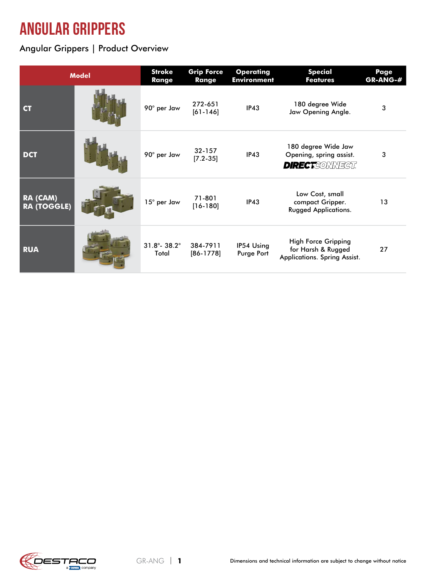## angular grippers

Angular Grippers | Product Overview

| <b>Model</b>                   |  | <b>Stroke</b><br><b>Range</b>      | <b>Grip Force</b><br><b>Range</b> | <b>Operating</b><br><b>Environment</b> | <b>Special</b><br><b>Features</b>                                                | Page<br>GR-ANG-# |
|--------------------------------|--|------------------------------------|-----------------------------------|----------------------------------------|----------------------------------------------------------------------------------|------------------|
| <b>CT</b>                      |  | 90° per Jaw                        | 272-651<br>$[61 - 146]$           | IP43                                   | 180 degree Wide<br>Jaw Opening Angle.                                            | 3                |
| <b>DCT</b>                     |  | 90° per Jaw                        | $32 - 157$<br>$[7.2 - 35]$        | IP43                                   | 180 degree Wide Jaw<br>Opening, spring assist.<br><b>DIRECT</b> CONNECT          | 3                |
| RA (CAM)<br><b>RA (TOGGLE)</b> |  | 15° per Jaw                        | 71-801<br>$[16-180]$              | IP43                                   | Low Cost, small<br>compact Gripper.<br><b>Rugged Applications.</b>               | 13               |
| <b>RUA</b>                     |  | $31.8^\circ - 38.2^\circ$<br>Total | 384-7911<br>$[86-1778]$           | IP54 Using<br>Purge Port               | <b>High Force Gripping</b><br>for Harsh & Rugged<br>Applications. Spring Assist. | 27               |